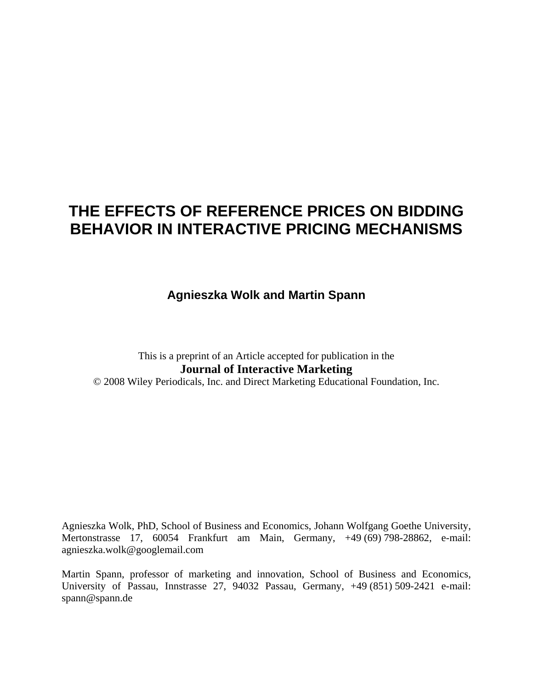# **THE EFFECTS OF REFERENCE PRICES ON BIDDING BEHAVIOR IN INTERACTIVE PRICING MECHANISMS**

**Agnieszka Wolk and Martin Spann** 

This is a preprint of an Article accepted for publication in the **Journal of Interactive Marketing** 

© 2008 Wiley Periodicals, Inc. and Direct Marketing Educational Foundation, Inc.

Agnieszka Wolk, PhD, School of Business and Economics, Johann Wolfgang Goethe University, Mertonstrasse 17, 60054 Frankfurt am Main, Germany, +49 (69) 798-28862, e-mail: agnieszka.wolk@googlemail.com

Martin Spann, professor of marketing and innovation, School of Business and Economics, University of Passau, Innstrasse 27, 94032 Passau, Germany, +49 (851) 509-2421 e-mail: spann@spann.de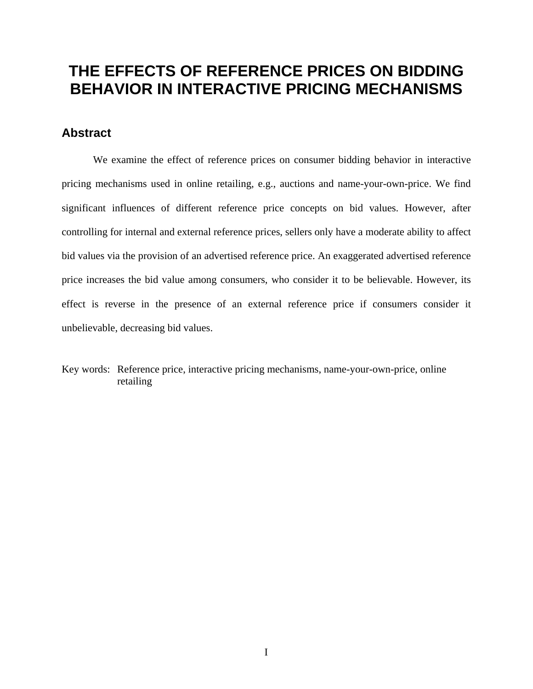# **THE EFFECTS OF REFERENCE PRICES ON BIDDING BEHAVIOR IN INTERACTIVE PRICING MECHANISMS**

# **Abstract**

We examine the effect of reference prices on consumer bidding behavior in interactive pricing mechanisms used in online retailing, e.g., auctions and name-your-own-price. We find significant influences of different reference price concepts on bid values. However, after controlling for internal and external reference prices, sellers only have a moderate ability to affect bid values via the provision of an advertised reference price. An exaggerated advertised reference price increases the bid value among consumers, who consider it to be believable. However, its effect is reverse in the presence of an external reference price if consumers consider it unbelievable, decreasing bid values.

Key words: Reference price, interactive pricing mechanisms, name-your-own-price, online retailing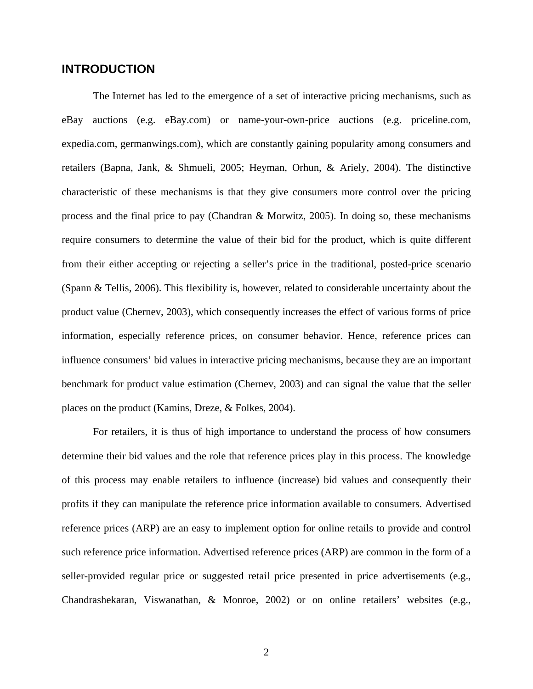# **INTRODUCTION**

The Internet has led to the emergence of a set of interactive pricing mechanisms, such as eBay auctions (e.g. eBay.com) or name-your-own-price auctions (e.g. priceline.com, expedia.com, germanwings.com), which are constantly gaining popularity among consumers and retailers (Bapna, Jank, & Shmueli, 2005; Heyman, Orhun, & Ariely, 2004). The distinctive characteristic of these mechanisms is that they give consumers more control over the pricing process and the final price to pay (Chandran & Morwitz, 2005). In doing so, these mechanisms require consumers to determine the value of their bid for the product, which is quite different from their either accepting or rejecting a seller's price in the traditional, posted-price scenario (Spann & Tellis, 2006). This flexibility is, however, related to considerable uncertainty about the product value (Chernev, 2003), which consequently increases the effect of various forms of price information, especially reference prices, on consumer behavior. Hence, reference prices can influence consumers' bid values in interactive pricing mechanisms, because they are an important benchmark for product value estimation (Chernev, 2003) and can signal the value that the seller places on the product (Kamins, Dreze, & Folkes, 2004).

For retailers, it is thus of high importance to understand the process of how consumers determine their bid values and the role that reference prices play in this process. The knowledge of this process may enable retailers to influence (increase) bid values and consequently their profits if they can manipulate the reference price information available to consumers. Advertised reference prices (ARP) are an easy to implement option for online retails to provide and control such reference price information. Advertised reference prices (ARP) are common in the form of a seller-provided regular price or suggested retail price presented in price advertisements (e.g., Chandrashekaran, Viswanathan, & Monroe, 2002) or on online retailers' websites (e.g.,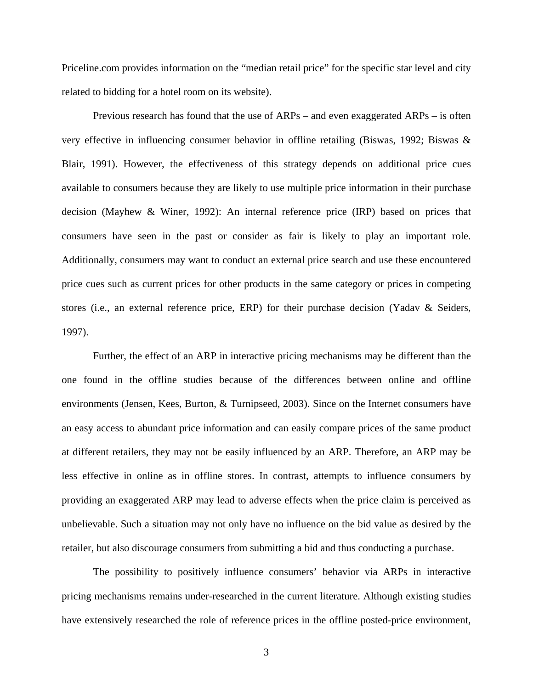Priceline.com provides information on the "median retail price" for the specific star level and city related to bidding for a hotel room on its website).

Previous research has found that the use of ARPs – and even exaggerated ARPs – is often very effective in influencing consumer behavior in offline retailing (Biswas, 1992; Biswas & Blair, 1991). However, the effectiveness of this strategy depends on additional price cues available to consumers because they are likely to use multiple price information in their purchase decision (Mayhew & Winer, 1992): An internal reference price (IRP) based on prices that consumers have seen in the past or consider as fair is likely to play an important role. Additionally, consumers may want to conduct an external price search and use these encountered price cues such as current prices for other products in the same category or prices in competing stores (i.e., an external reference price, ERP) for their purchase decision (Yadav & Seiders, 1997).

Further, the effect of an ARP in interactive pricing mechanisms may be different than the one found in the offline studies because of the differences between online and offline environments (Jensen, Kees, Burton, & Turnipseed, 2003). Since on the Internet consumers have an easy access to abundant price information and can easily compare prices of the same product at different retailers, they may not be easily influenced by an ARP. Therefore, an ARP may be less effective in online as in offline stores. In contrast, attempts to influence consumers by providing an exaggerated ARP may lead to adverse effects when the price claim is perceived as unbelievable. Such a situation may not only have no influence on the bid value as desired by the retailer, but also discourage consumers from submitting a bid and thus conducting a purchase.

The possibility to positively influence consumers' behavior via ARPs in interactive pricing mechanisms remains under-researched in the current literature. Although existing studies have extensively researched the role of reference prices in the offline posted-price environment,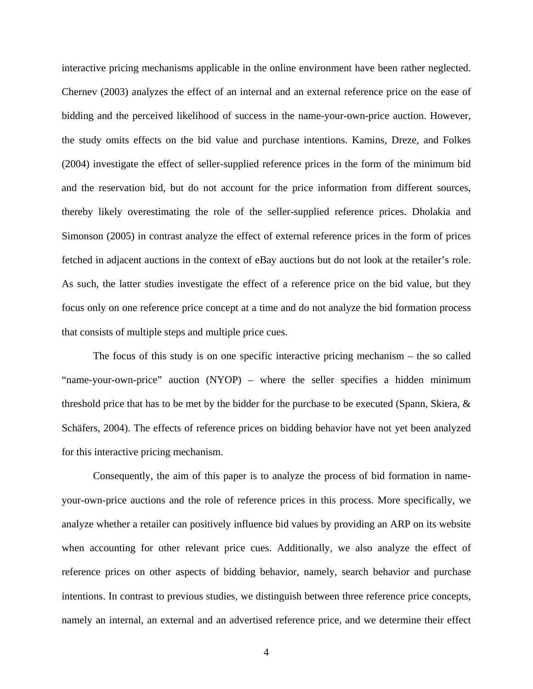interactive pricing mechanisms applicable in the online environment have been rather neglected. Chernev (2003) analyzes the effect of an internal and an external reference price on the ease of bidding and the perceived likelihood of success in the name-your-own-price auction. However, the study omits effects on the bid value and purchase intentions. Kamins, Dreze, and Folkes (2004) investigate the effect of seller-supplied reference prices in the form of the minimum bid and the reservation bid, but do not account for the price information from different sources, thereby likely overestimating the role of the seller-supplied reference prices. Dholakia and Simonson (2005) in contrast analyze the effect of external reference prices in the form of prices fetched in adjacent auctions in the context of eBay auctions but do not look at the retailer's role. As such, the latter studies investigate the effect of a reference price on the bid value, but they focus only on one reference price concept at a time and do not analyze the bid formation process that consists of multiple steps and multiple price cues.

The focus of this study is on one specific interactive pricing mechanism – the so called "name-your-own-price" auction (NYOP) – where the seller specifies a hidden minimum threshold price that has to be met by the bidder for the purchase to be executed (Spann, Skiera, & Schäfers, 2004). The effects of reference prices on bidding behavior have not yet been analyzed for this interactive pricing mechanism.

Consequently, the aim of this paper is to analyze the process of bid formation in nameyour-own-price auctions and the role of reference prices in this process. More specifically, we analyze whether a retailer can positively influence bid values by providing an ARP on its website when accounting for other relevant price cues. Additionally, we also analyze the effect of reference prices on other aspects of bidding behavior, namely, search behavior and purchase intentions. In contrast to previous studies, we distinguish between three reference price concepts, namely an internal, an external and an advertised reference price, and we determine their effect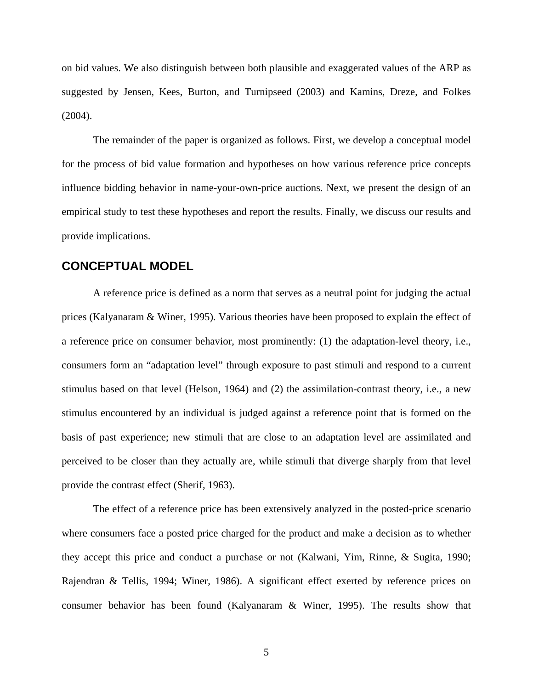on bid values. We also distinguish between both plausible and exaggerated values of the ARP as suggested by Jensen, Kees, Burton, and Turnipseed (2003) and Kamins, Dreze, and Folkes (2004).

The remainder of the paper is organized as follows. First, we develop a conceptual model for the process of bid value formation and hypotheses on how various reference price concepts influence bidding behavior in name-your-own-price auctions. Next, we present the design of an empirical study to test these hypotheses and report the results. Finally, we discuss our results and provide implications.

## **CONCEPTUAL MODEL**

A reference price is defined as a norm that serves as a neutral point for judging the actual prices (Kalyanaram & Winer, 1995). Various theories have been proposed to explain the effect of a reference price on consumer behavior, most prominently: (1) the adaptation-level theory, i.e., consumers form an "adaptation level" through exposure to past stimuli and respond to a current stimulus based on that level (Helson, 1964) and (2) the assimilation-contrast theory, i.e., a new stimulus encountered by an individual is judged against a reference point that is formed on the basis of past experience; new stimuli that are close to an adaptation level are assimilated and perceived to be closer than they actually are, while stimuli that diverge sharply from that level provide the contrast effect (Sherif, 1963).

The effect of a reference price has been extensively analyzed in the posted-price scenario where consumers face a posted price charged for the product and make a decision as to whether they accept this price and conduct a purchase or not (Kalwani, Yim, Rinne, & Sugita, 1990; Rajendran & Tellis, 1994; Winer, 1986). A significant effect exerted by reference prices on consumer behavior has been found (Kalyanaram & Winer, 1995). The results show that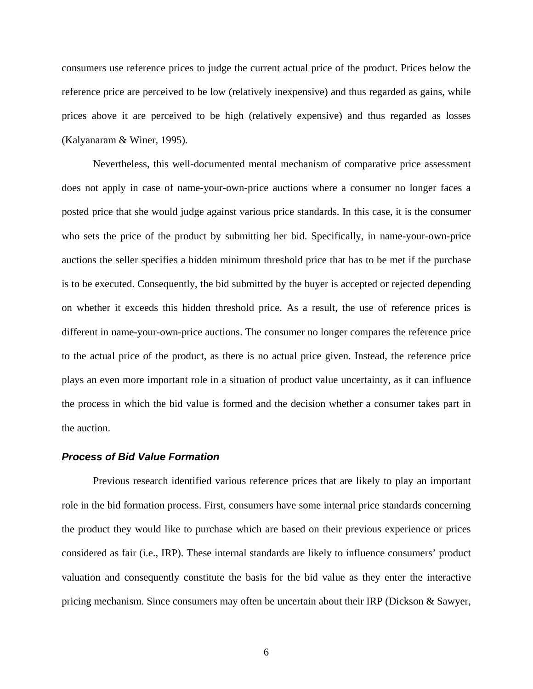consumers use reference prices to judge the current actual price of the product. Prices below the reference price are perceived to be low (relatively inexpensive) and thus regarded as gains, while prices above it are perceived to be high (relatively expensive) and thus regarded as losses (Kalyanaram & Winer, 1995).

Nevertheless, this well-documented mental mechanism of comparative price assessment does not apply in case of name-your-own-price auctions where a consumer no longer faces a posted price that she would judge against various price standards. In this case, it is the consumer who sets the price of the product by submitting her bid. Specifically, in name-your-own-price auctions the seller specifies a hidden minimum threshold price that has to be met if the purchase is to be executed. Consequently, the bid submitted by the buyer is accepted or rejected depending on whether it exceeds this hidden threshold price. As a result, the use of reference prices is different in name-your-own-price auctions. The consumer no longer compares the reference price to the actual price of the product, as there is no actual price given. Instead, the reference price plays an even more important role in a situation of product value uncertainty, as it can influence the process in which the bid value is formed and the decision whether a consumer takes part in the auction.

#### *Process of Bid Value Formation*

Previous research identified various reference prices that are likely to play an important role in the bid formation process. First, consumers have some internal price standards concerning the product they would like to purchase which are based on their previous experience or prices considered as fair (i.e., IRP). These internal standards are likely to influence consumers' product valuation and consequently constitute the basis for the bid value as they enter the interactive pricing mechanism. Since consumers may often be uncertain about their IRP (Dickson & Sawyer,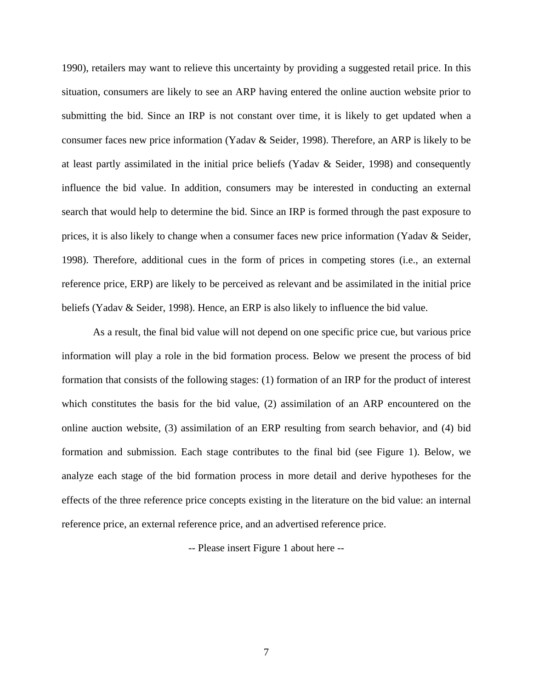1990), retailers may want to relieve this uncertainty by providing a suggested retail price. In this situation, consumers are likely to see an ARP having entered the online auction website prior to submitting the bid. Since an IRP is not constant over time, it is likely to get updated when a consumer faces new price information (Yadav & Seider, 1998). Therefore, an ARP is likely to be at least partly assimilated in the initial price beliefs (Yadav & Seider, 1998) and consequently influence the bid value. In addition, consumers may be interested in conducting an external search that would help to determine the bid. Since an IRP is formed through the past exposure to prices, it is also likely to change when a consumer faces new price information (Yadav & Seider, 1998). Therefore, additional cues in the form of prices in competing stores (i.e., an external reference price, ERP) are likely to be perceived as relevant and be assimilated in the initial price beliefs (Yadav & Seider, 1998). Hence, an ERP is also likely to influence the bid value.

As a result, the final bid value will not depend on one specific price cue, but various price information will play a role in the bid formation process. Below we present the process of bid formation that consists of the following stages: (1) formation of an IRP for the product of interest which constitutes the basis for the bid value, (2) assimilation of an ARP encountered on the online auction website, (3) assimilation of an ERP resulting from search behavior, and (4) bid formation and submission. Each stage contributes to the final bid (see Figure 1). Below, we analyze each stage of the bid formation process in more detail and derive hypotheses for the effects of the three reference price concepts existing in the literature on the bid value: an internal reference price, an external reference price, and an advertised reference price.

-- Please insert Figure 1 about here --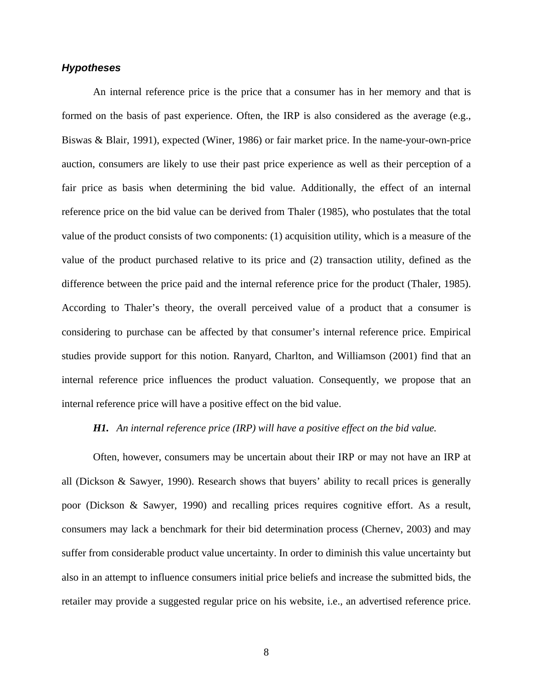### *Hypotheses*

An internal reference price is the price that a consumer has in her memory and that is formed on the basis of past experience. Often, the IRP is also considered as the average (e.g., Biswas & Blair, 1991), expected (Winer, 1986) or fair market price. In the name-your-own-price auction, consumers are likely to use their past price experience as well as their perception of a fair price as basis when determining the bid value. Additionally, the effect of an internal reference price on the bid value can be derived from Thaler (1985), who postulates that the total value of the product consists of two components: (1) acquisition utility, which is a measure of the value of the product purchased relative to its price and (2) transaction utility, defined as the difference between the price paid and the internal reference price for the product (Thaler, 1985). According to Thaler's theory, the overall perceived value of a product that a consumer is considering to purchase can be affected by that consumer's internal reference price. Empirical studies provide support for this notion. Ranyard, Charlton, and Williamson (2001) find that an internal reference price influences the product valuation. Consequently, we propose that an internal reference price will have a positive effect on the bid value.

#### *H1. An internal reference price (IRP) will have a positive effect on the bid value.*

Often, however, consumers may be uncertain about their IRP or may not have an IRP at all (Dickson & Sawyer, 1990). Research shows that buyers' ability to recall prices is generally poor (Dickson & Sawyer, 1990) and recalling prices requires cognitive effort. As a result, consumers may lack a benchmark for their bid determination process (Chernev, 2003) and may suffer from considerable product value uncertainty. In order to diminish this value uncertainty but also in an attempt to influence consumers initial price beliefs and increase the submitted bids, the retailer may provide a suggested regular price on his website, i.e., an advertised reference price.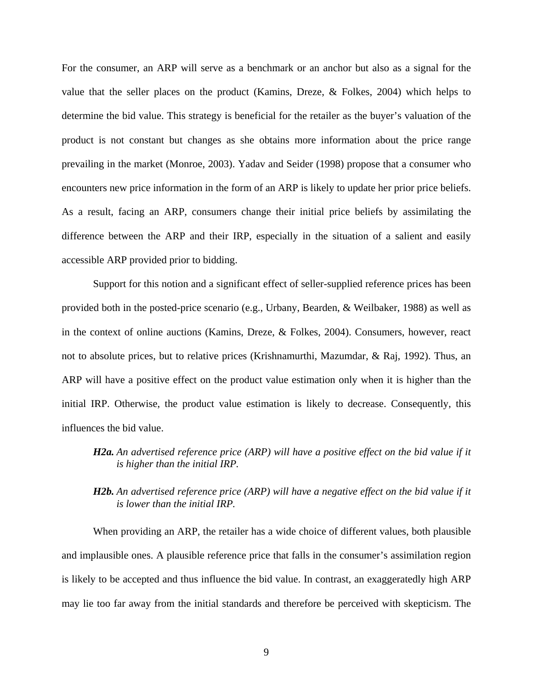For the consumer, an ARP will serve as a benchmark or an anchor but also as a signal for the value that the seller places on the product (Kamins, Dreze, & Folkes, 2004) which helps to determine the bid value. This strategy is beneficial for the retailer as the buyer's valuation of the product is not constant but changes as she obtains more information about the price range prevailing in the market (Monroe, 2003). Yadav and Seider (1998) propose that a consumer who encounters new price information in the form of an ARP is likely to update her prior price beliefs. As a result, facing an ARP, consumers change their initial price beliefs by assimilating the difference between the ARP and their IRP, especially in the situation of a salient and easily accessible ARP provided prior to bidding.

Support for this notion and a significant effect of seller-supplied reference prices has been provided both in the posted-price scenario (e.g., Urbany, Bearden, & Weilbaker, 1988) as well as in the context of online auctions (Kamins, Dreze, & Folkes, 2004). Consumers, however, react not to absolute prices, but to relative prices (Krishnamurthi, Mazumdar, & Raj, 1992). Thus, an ARP will have a positive effect on the product value estimation only when it is higher than the initial IRP. Otherwise, the product value estimation is likely to decrease. Consequently, this influences the bid value.

## *H2a. An advertised reference price (ARP) will have a positive effect on the bid value if it is higher than the initial IRP.*

## *H2b. An advertised reference price (ARP) will have a negative effect on the bid value if it is lower than the initial IRP.*

When providing an ARP, the retailer has a wide choice of different values, both plausible and implausible ones. A plausible reference price that falls in the consumer's assimilation region is likely to be accepted and thus influence the bid value. In contrast, an exaggeratedly high ARP may lie too far away from the initial standards and therefore be perceived with skepticism. The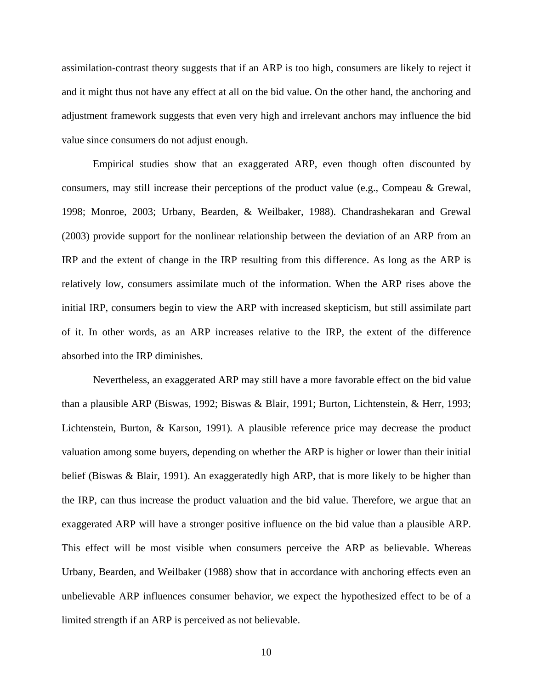assimilation-contrast theory suggests that if an ARP is too high, consumers are likely to reject it and it might thus not have any effect at all on the bid value. On the other hand, the anchoring and adjustment framework suggests that even very high and irrelevant anchors may influence the bid value since consumers do not adjust enough.

Empirical studies show that an exaggerated ARP, even though often discounted by consumers, may still increase their perceptions of the product value (e.g., Compeau & Grewal, 1998; Monroe, 2003; Urbany, Bearden, & Weilbaker, 1988). Chandrashekaran and Grewal (2003) provide support for the nonlinear relationship between the deviation of an ARP from an IRP and the extent of change in the IRP resulting from this difference. As long as the ARP is relatively low, consumers assimilate much of the information. When the ARP rises above the initial IRP, consumers begin to view the ARP with increased skepticism, but still assimilate part of it. In other words, as an ARP increases relative to the IRP, the extent of the difference absorbed into the IRP diminishes.

Nevertheless, an exaggerated ARP may still have a more favorable effect on the bid value than a plausible ARP (Biswas, 1992; Biswas & Blair, 1991; Burton, Lichtenstein, & Herr, 1993; Lichtenstein, Burton, & Karson, 1991)*.* A plausible reference price may decrease the product valuation among some buyers, depending on whether the ARP is higher or lower than their initial belief (Biswas & Blair, 1991). An exaggeratedly high ARP, that is more likely to be higher than the IRP, can thus increase the product valuation and the bid value. Therefore, we argue that an exaggerated ARP will have a stronger positive influence on the bid value than a plausible ARP. This effect will be most visible when consumers perceive the ARP as believable. Whereas Urbany, Bearden, and Weilbaker (1988) show that in accordance with anchoring effects even an unbelievable ARP influences consumer behavior, we expect the hypothesized effect to be of a limited strength if an ARP is perceived as not believable.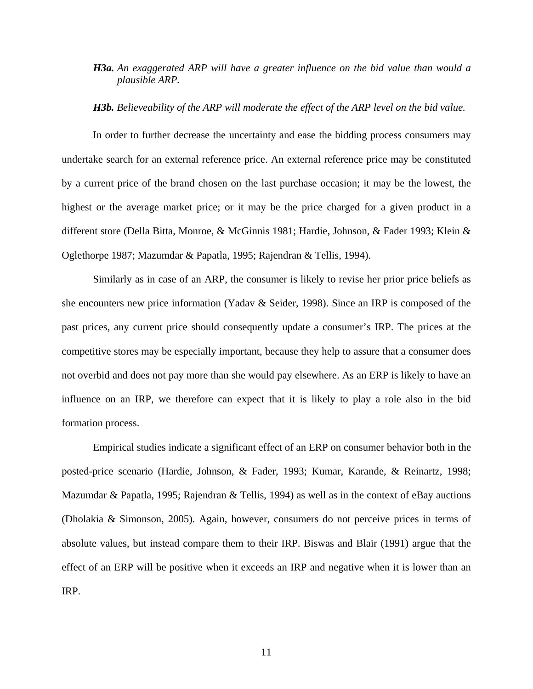## *H3a. An exaggerated ARP will have a greater influence on the bid value than would a plausible ARP.*

#### *H3b. Believeability of the ARP will moderate the effect of the ARP level on the bid value.*

In order to further decrease the uncertainty and ease the bidding process consumers may undertake search for an external reference price. An external reference price may be constituted by a current price of the brand chosen on the last purchase occasion; it may be the lowest, the highest or the average market price; or it may be the price charged for a given product in a different store (Della Bitta, Monroe, & McGinnis 1981; Hardie, Johnson, & Fader 1993; Klein & Oglethorpe 1987; Mazumdar & Papatla, 1995; Rajendran & Tellis, 1994).

Similarly as in case of an ARP, the consumer is likely to revise her prior price beliefs as she encounters new price information (Yadav & Seider, 1998). Since an IRP is composed of the past prices, any current price should consequently update a consumer's IRP. The prices at the competitive stores may be especially important, because they help to assure that a consumer does not overbid and does not pay more than she would pay elsewhere. As an ERP is likely to have an influence on an IRP, we therefore can expect that it is likely to play a role also in the bid formation process.

Empirical studies indicate a significant effect of an ERP on consumer behavior both in the posted-price scenario (Hardie, Johnson, & Fader, 1993; Kumar, Karande, & Reinartz, 1998; Mazumdar & Papatla, 1995; Rajendran & Tellis, 1994) as well as in the context of eBay auctions (Dholakia & Simonson, 2005). Again, however, consumers do not perceive prices in terms of absolute values, but instead compare them to their IRP. Biswas and Blair (1991) argue that the effect of an ERP will be positive when it exceeds an IRP and negative when it is lower than an IRP.

11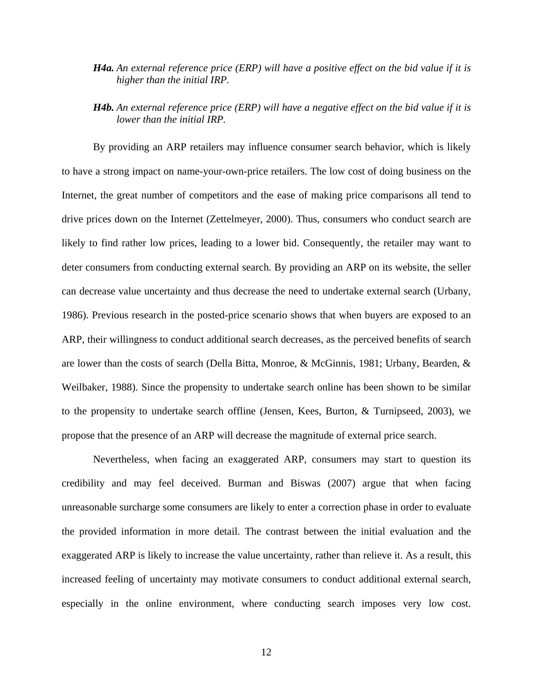- *H4a. An external reference price (ERP) will have a positive effect on the bid value if it is higher than the initial IRP.*
- *H4b. An external reference price (ERP) will have a negative effect on the bid value if it is lower than the initial IRP.*

By providing an ARP retailers may influence consumer search behavior, which is likely to have a strong impact on name-your-own-price retailers. The low cost of doing business on the Internet, the great number of competitors and the ease of making price comparisons all tend to drive prices down on the Internet (Zettelmeyer, 2000). Thus, consumers who conduct search are likely to find rather low prices, leading to a lower bid. Consequently, the retailer may want to deter consumers from conducting external search. By providing an ARP on its website, the seller can decrease value uncertainty and thus decrease the need to undertake external search (Urbany, 1986). Previous research in the posted-price scenario shows that when buyers are exposed to an ARP, their willingness to conduct additional search decreases, as the perceived benefits of search are lower than the costs of search (Della Bitta, Monroe, & McGinnis, 1981; Urbany, Bearden, & Weilbaker, 1988). Since the propensity to undertake search online has been shown to be similar to the propensity to undertake search offline (Jensen, Kees, Burton, & Turnipseed, 2003), we propose that the presence of an ARP will decrease the magnitude of external price search.

Nevertheless, when facing an exaggerated ARP, consumers may start to question its credibility and may feel deceived. Burman and Biswas (2007) argue that when facing unreasonable surcharge some consumers are likely to enter a correction phase in order to evaluate the provided information in more detail. The contrast between the initial evaluation and the exaggerated ARP is likely to increase the value uncertainty, rather than relieve it. As a result, this increased feeling of uncertainty may motivate consumers to conduct additional external search, especially in the online environment, where conducting search imposes very low cost.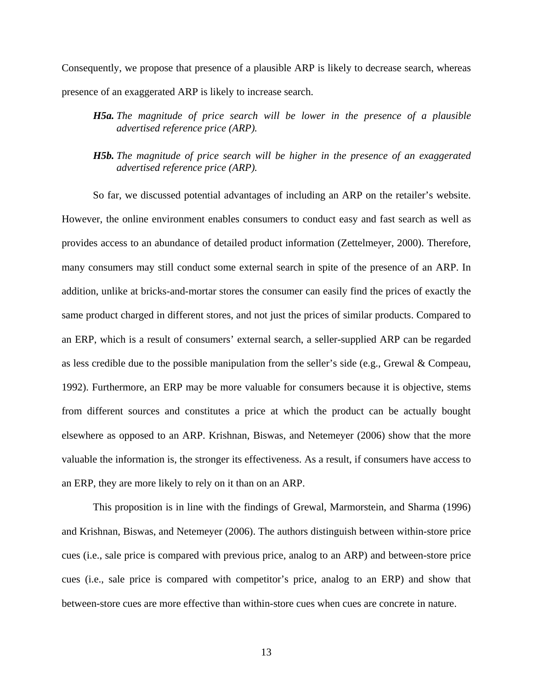Consequently, we propose that presence of a plausible ARP is likely to decrease search, whereas presence of an exaggerated ARP is likely to increase search.

- *H5a. The magnitude of price search will be lower in the presence of a plausible advertised reference price (ARP).*
- *H5b. The magnitude of price search will be higher in the presence of an exaggerated advertised reference price (ARP).*

So far, we discussed potential advantages of including an ARP on the retailer's website. However, the online environment enables consumers to conduct easy and fast search as well as provides access to an abundance of detailed product information (Zettelmeyer, 2000). Therefore, many consumers may still conduct some external search in spite of the presence of an ARP. In addition, unlike at bricks-and-mortar stores the consumer can easily find the prices of exactly the same product charged in different stores, and not just the prices of similar products. Compared to an ERP, which is a result of consumers' external search, a seller-supplied ARP can be regarded as less credible due to the possible manipulation from the seller's side (e.g., Grewal & Compeau, 1992). Furthermore, an ERP may be more valuable for consumers because it is objective, stems from different sources and constitutes a price at which the product can be actually bought elsewhere as opposed to an ARP. Krishnan, Biswas, and Netemeyer (2006) show that the more valuable the information is, the stronger its effectiveness. As a result, if consumers have access to an ERP, they are more likely to rely on it than on an ARP.

This proposition is in line with the findings of Grewal, Marmorstein, and Sharma (1996) and Krishnan, Biswas, and Netemeyer (2006). The authors distinguish between within-store price cues (i.e., sale price is compared with previous price, analog to an ARP) and between-store price cues (i.e., sale price is compared with competitor's price, analog to an ERP) and show that between-store cues are more effective than within-store cues when cues are concrete in nature.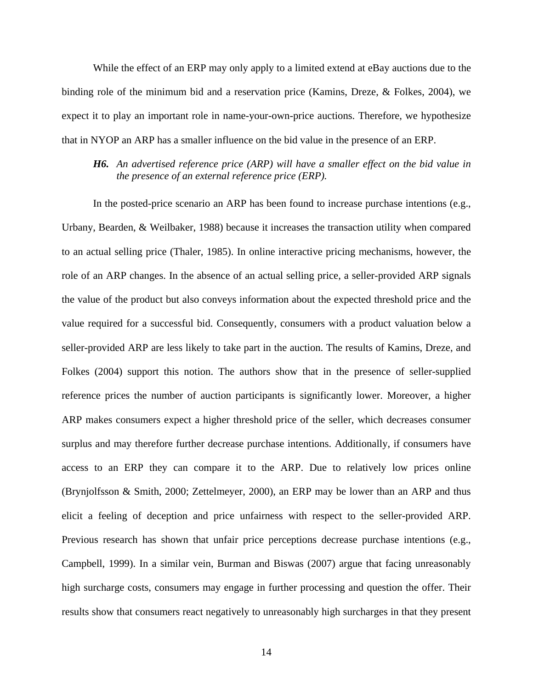While the effect of an ERP may only apply to a limited extend at eBay auctions due to the binding role of the minimum bid and a reservation price (Kamins, Dreze, & Folkes, 2004), we expect it to play an important role in name-your-own-price auctions. Therefore, we hypothesize that in NYOP an ARP has a smaller influence on the bid value in the presence of an ERP.

### *H6. An advertised reference price (ARP) will have a smaller effect on the bid value in the presence of an external reference price (ERP).*

In the posted-price scenario an ARP has been found to increase purchase intentions (e.g., Urbany, Bearden, & Weilbaker, 1988) because it increases the transaction utility when compared to an actual selling price (Thaler, 1985). In online interactive pricing mechanisms, however, the role of an ARP changes. In the absence of an actual selling price, a seller-provided ARP signals the value of the product but also conveys information about the expected threshold price and the value required for a successful bid. Consequently, consumers with a product valuation below a seller-provided ARP are less likely to take part in the auction. The results of Kamins, Dreze, and Folkes (2004) support this notion. The authors show that in the presence of seller-supplied reference prices the number of auction participants is significantly lower. Moreover, a higher ARP makes consumers expect a higher threshold price of the seller, which decreases consumer surplus and may therefore further decrease purchase intentions. Additionally, if consumers have access to an ERP they can compare it to the ARP. Due to relatively low prices online (Brynjolfsson & Smith, 2000; Zettelmeyer, 2000), an ERP may be lower than an ARP and thus elicit a feeling of deception and price unfairness with respect to the seller-provided ARP. Previous research has shown that unfair price perceptions decrease purchase intentions (e.g., Campbell, 1999). In a similar vein, Burman and Biswas (2007) argue that facing unreasonably high surcharge costs, consumers may engage in further processing and question the offer. Their results show that consumers react negatively to unreasonably high surcharges in that they present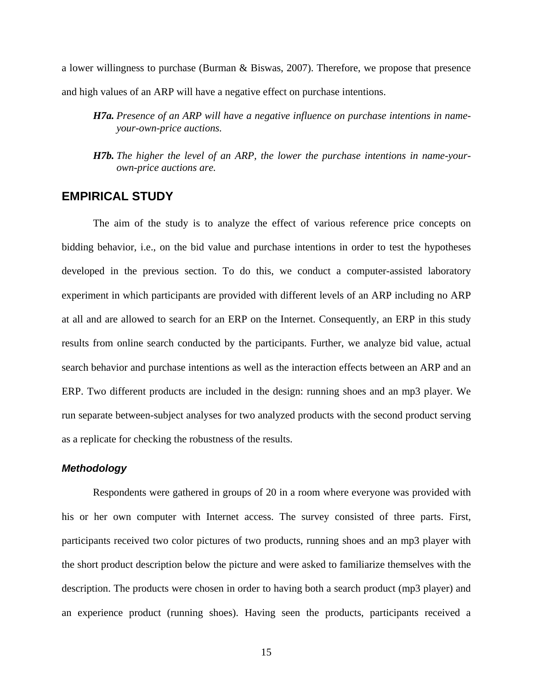a lower willingness to purchase (Burman & Biswas, 2007). Therefore, we propose that presence and high values of an ARP will have a negative effect on purchase intentions.

- *H7a. Presence of an ARP will have a negative influence on purchase intentions in nameyour-own-price auctions.*
- *H7b. The higher the level of an ARP, the lower the purchase intentions in name-yourown-price auctions are.*

## **EMPIRICAL STUDY**

The aim of the study is to analyze the effect of various reference price concepts on bidding behavior, i.e., on the bid value and purchase intentions in order to test the hypotheses developed in the previous section. To do this, we conduct a computer-assisted laboratory experiment in which participants are provided with different levels of an ARP including no ARP at all and are allowed to search for an ERP on the Internet. Consequently, an ERP in this study results from online search conducted by the participants. Further, we analyze bid value, actual search behavior and purchase intentions as well as the interaction effects between an ARP and an ERP. Two different products are included in the design: running shoes and an mp3 player. We run separate between-subject analyses for two analyzed products with the second product serving as a replicate for checking the robustness of the results.

## *Methodology*

Respondents were gathered in groups of 20 in a room where everyone was provided with his or her own computer with Internet access. The survey consisted of three parts. First, participants received two color pictures of two products, running shoes and an mp3 player with the short product description below the picture and were asked to familiarize themselves with the description. The products were chosen in order to having both a search product (mp3 player) and an experience product (running shoes). Having seen the products, participants received a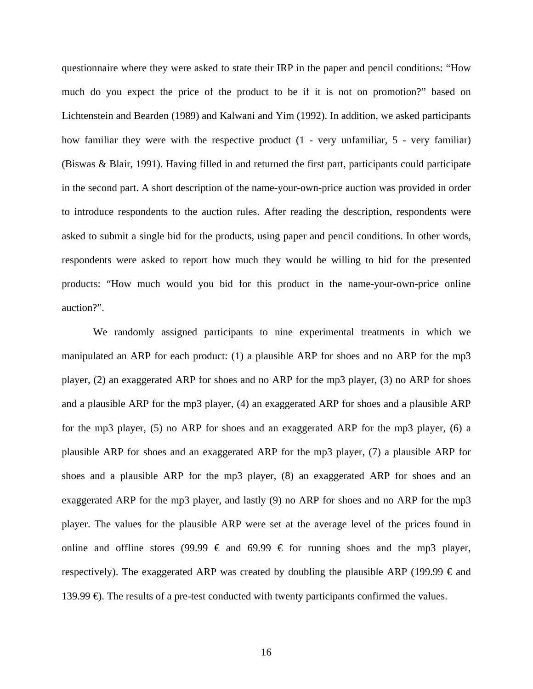questionnaire where they were asked to state their IRP in the paper and pencil conditions: "How much do you expect the price of the product to be if it is not on promotion?" based on Lichtenstein and Bearden (1989) and Kalwani and Yim (1992). In addition, we asked participants how familiar they were with the respective product (1 - very unfamiliar, 5 - very familiar) (Biswas & Blair, 1991). Having filled in and returned the first part, participants could participate in the second part. A short description of the name-your-own-price auction was provided in order to introduce respondents to the auction rules. After reading the description, respondents were asked to submit a single bid for the products, using paper and pencil conditions. In other words, respondents were asked to report how much they would be willing to bid for the presented products: "How much would you bid for this product in the name-your-own-price online auction?".

We randomly assigned participants to nine experimental treatments in which we manipulated an ARP for each product: (1) a plausible ARP for shoes and no ARP for the mp3 player, (2) an exaggerated ARP for shoes and no ARP for the mp3 player, (3) no ARP for shoes and a plausible ARP for the mp3 player, (4) an exaggerated ARP for shoes and a plausible ARP for the mp3 player, (5) no ARP for shoes and an exaggerated ARP for the mp3 player, (6) a plausible ARP for shoes and an exaggerated ARP for the mp3 player, (7) a plausible ARP for shoes and a plausible ARP for the mp3 player, (8) an exaggerated ARP for shoes and an exaggerated ARP for the mp3 player, and lastly (9) no ARP for shoes and no ARP for the mp3 player. The values for the plausible ARP were set at the average level of the prices found in online and offline stores (99.99  $\epsilon$  and 69.99  $\epsilon$  for running shoes and the mp3 player, respectively). The exaggerated ARP was created by doubling the plausible ARP (199.99  $\epsilon$  and 139.99  $\oplus$ . The results of a pre-test conducted with twenty participants confirmed the values.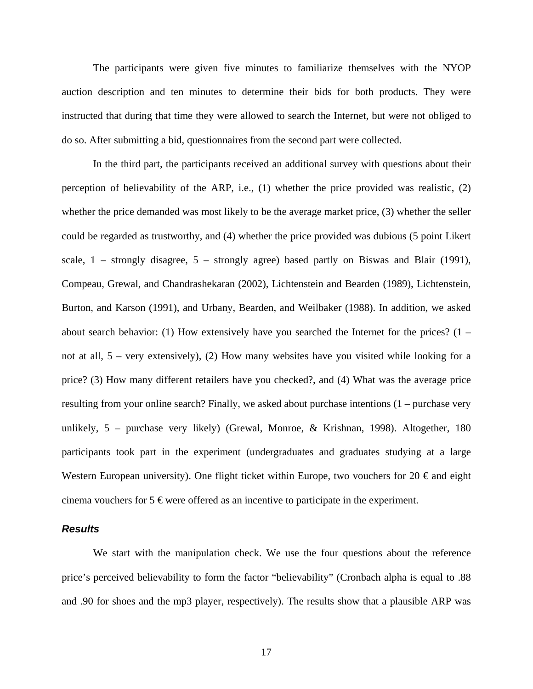The participants were given five minutes to familiarize themselves with the NYOP auction description and ten minutes to determine their bids for both products. They were instructed that during that time they were allowed to search the Internet, but were not obliged to do so. After submitting a bid, questionnaires from the second part were collected.

In the third part, the participants received an additional survey with questions about their perception of believability of the ARP, i.e., (1) whether the price provided was realistic, (2) whether the price demanded was most likely to be the average market price, (3) whether the seller could be regarded as trustworthy, and (4) whether the price provided was dubious (5 point Likert scale,  $1$  – strongly disagree,  $5$  – strongly agree) based partly on Biswas and Blair (1991), Compeau, Grewal, and Chandrashekaran (2002), Lichtenstein and Bearden (1989), Lichtenstein, Burton, and Karson (1991), and Urbany, Bearden, and Weilbaker (1988). In addition, we asked about search behavior: (1) How extensively have you searched the Internet for the prices?  $(1$ not at all, 5 – very extensively), (2) How many websites have you visited while looking for a price? (3) How many different retailers have you checked?, and (4) What was the average price resulting from your online search? Finally, we asked about purchase intentions (1 – purchase very unlikely, 5 – purchase very likely) (Grewal, Monroe, & Krishnan, 1998). Altogether, 180 participants took part in the experiment (undergraduates and graduates studying at a large Western European university). One flight ticket within Europe, two vouchers for 20  $\epsilon$  and eight cinema vouchers for 5  $\epsilon$  were offered as an incentive to participate in the experiment.

#### *Results*

We start with the manipulation check. We use the four questions about the reference price's perceived believability to form the factor "believability" (Cronbach alpha is equal to .88 and .90 for shoes and the mp3 player, respectively). The results show that a plausible ARP was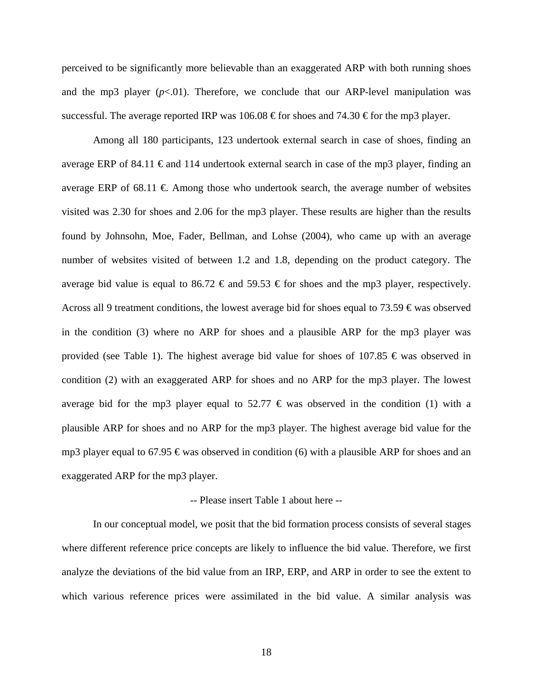perceived to be significantly more believable than an exaggerated ARP with both running shoes and the mp3 player  $(p<.01)$ . Therefore, we conclude that our ARP-level manipulation was successful. The average reported IRP was 106.08  $\epsilon$  for shoes and 74.30  $\epsilon$  for the mp3 player.

Among all 180 participants, 123 undertook external search in case of shoes, finding an average ERP of 84.11  $\epsilon$  and 114 undertook external search in case of the mp3 player, finding an average ERP of 68.11  $\epsilon$  Among those who undertook search, the average number of websites visited was 2.30 for shoes and 2.06 for the mp3 player. These results are higher than the results found by Johnsohn, Moe, Fader, Bellman, and Lohse (2004), who came up with an average number of websites visited of between 1.2 and 1.8, depending on the product category. The average bid value is equal to 86.72  $\epsilon$  and 59.53  $\epsilon$  for shoes and the mp3 player, respectively. Across all 9 treatment conditions, the lowest average bid for shoes equal to 73.59  $\epsilon$  was observed in the condition (3) where no ARP for shoes and a plausible ARP for the mp3 player was provided (see Table 1). The highest average bid value for shoes of 107.85  $\epsilon$  was observed in condition (2) with an exaggerated ARP for shoes and no ARP for the mp3 player. The lowest average bid for the mp3 player equal to 52.77  $\epsilon$  was observed in the condition (1) with a plausible ARP for shoes and no ARP for the mp3 player. The highest average bid value for the mp3 player equal to 67.95  $\epsilon$  was observed in condition (6) with a plausible ARP for shoes and an exaggerated ARP for the mp3 player.

#### -- Please insert Table 1 about here --

In our conceptual model, we posit that the bid formation process consists of several stages where different reference price concepts are likely to influence the bid value. Therefore, we first analyze the deviations of the bid value from an IRP, ERP, and ARP in order to see the extent to which various reference prices were assimilated in the bid value. A similar analysis was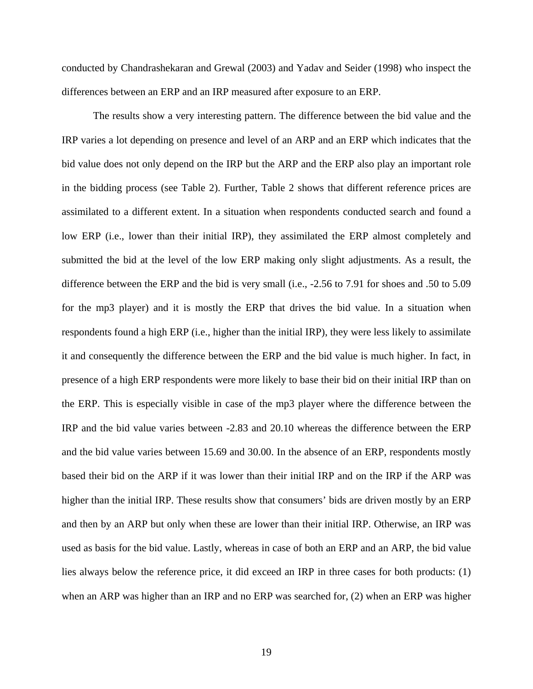conducted by Chandrashekaran and Grewal (2003) and Yadav and Seider (1998) who inspect the differences between an ERP and an IRP measured after exposure to an ERP.

The results show a very interesting pattern. The difference between the bid value and the IRP varies a lot depending on presence and level of an ARP and an ERP which indicates that the bid value does not only depend on the IRP but the ARP and the ERP also play an important role in the bidding process (see Table 2). Further, Table 2 shows that different reference prices are assimilated to a different extent. In a situation when respondents conducted search and found a low ERP (i.e., lower than their initial IRP), they assimilated the ERP almost completely and submitted the bid at the level of the low ERP making only slight adjustments. As a result, the difference between the ERP and the bid is very small (i.e., -2.56 to 7.91 for shoes and .50 to 5.09 for the mp3 player) and it is mostly the ERP that drives the bid value. In a situation when respondents found a high ERP (i.e., higher than the initial IRP), they were less likely to assimilate it and consequently the difference between the ERP and the bid value is much higher. In fact, in presence of a high ERP respondents were more likely to base their bid on their initial IRP than on the ERP. This is especially visible in case of the mp3 player where the difference between the IRP and the bid value varies between -2.83 and 20.10 whereas the difference between the ERP and the bid value varies between 15.69 and 30.00. In the absence of an ERP, respondents mostly based their bid on the ARP if it was lower than their initial IRP and on the IRP if the ARP was higher than the initial IRP. These results show that consumers' bids are driven mostly by an ERP and then by an ARP but only when these are lower than their initial IRP. Otherwise, an IRP was used as basis for the bid value. Lastly, whereas in case of both an ERP and an ARP, the bid value lies always below the reference price, it did exceed an IRP in three cases for both products: (1) when an ARP was higher than an IRP and no ERP was searched for, (2) when an ERP was higher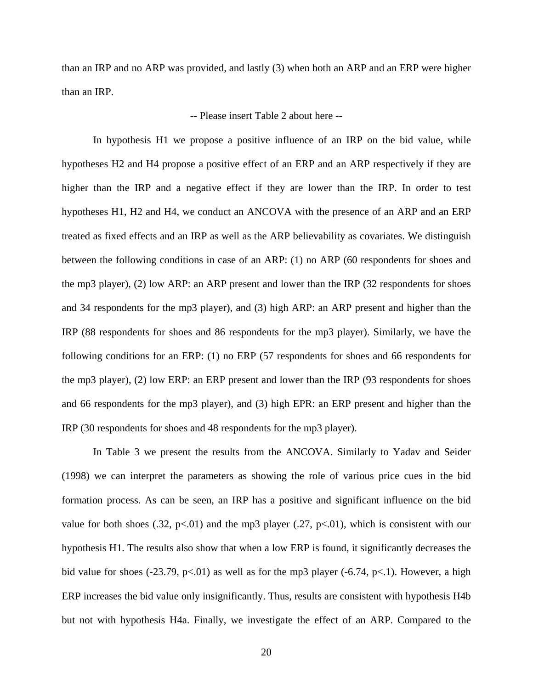than an IRP and no ARP was provided, and lastly (3) when both an ARP and an ERP were higher than an IRP.

### -- Please insert Table 2 about here --

In hypothesis H1 we propose a positive influence of an IRP on the bid value, while hypotheses H2 and H4 propose a positive effect of an ERP and an ARP respectively if they are higher than the IRP and a negative effect if they are lower than the IRP. In order to test hypotheses H1, H2 and H4, we conduct an ANCOVA with the presence of an ARP and an ERP treated as fixed effects and an IRP as well as the ARP believability as covariates. We distinguish between the following conditions in case of an ARP: (1) no ARP (60 respondents for shoes and the mp3 player), (2) low ARP: an ARP present and lower than the IRP (32 respondents for shoes and 34 respondents for the mp3 player), and (3) high ARP: an ARP present and higher than the IRP (88 respondents for shoes and 86 respondents for the mp3 player). Similarly, we have the following conditions for an ERP: (1) no ERP (57 respondents for shoes and 66 respondents for the mp3 player), (2) low ERP: an ERP present and lower than the IRP (93 respondents for shoes and 66 respondents for the mp3 player), and (3) high EPR: an ERP present and higher than the IRP (30 respondents for shoes and 48 respondents for the mp3 player).

In Table 3 we present the results from the ANCOVA. Similarly to Yadav and Seider (1998) we can interpret the parameters as showing the role of various price cues in the bid formation process. As can be seen, an IRP has a positive and significant influence on the bid value for both shoes (.32, p<.01) and the mp3 player (.27, p<.01), which is consistent with our hypothesis H1. The results also show that when a low ERP is found, it significantly decreases the bid value for shoes (-23.79, p<.01) as well as for the mp3 player (-6.74, p<.1). However, a high ERP increases the bid value only insignificantly. Thus, results are consistent with hypothesis H4b but not with hypothesis H4a. Finally, we investigate the effect of an ARP. Compared to the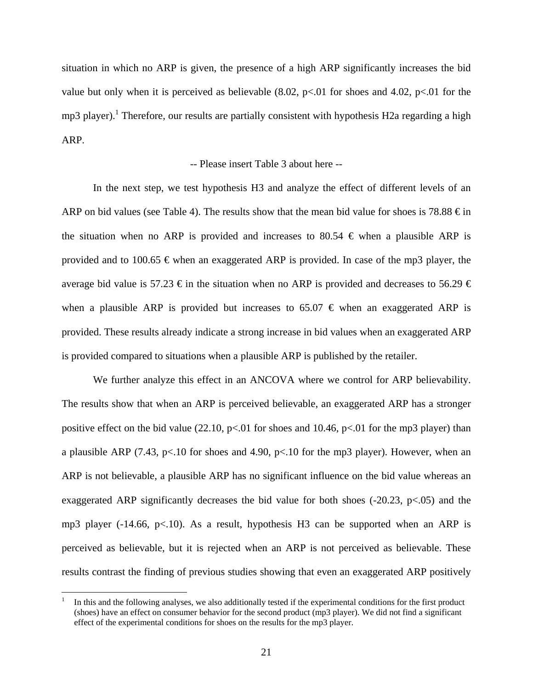situation in which no ARP is given, the presence of a high ARP significantly increases the bid value but only when it is perceived as believable  $(8.02, p<.01$  for shoes and 4.02, p<.01 for the mp3 player).<sup>1</sup> Therefore, our results are partially consistent with hypothesis H2a regarding a high ARP.

#### -- Please insert Table 3 about here --

In the next step, we test hypothesis H3 and analyze the effect of different levels of an ARP on bid values (see Table 4). The results show that the mean bid value for shoes is 78.88  $\epsilon$  in the situation when no ARP is provided and increases to 80.54  $\epsilon$  when a plausible ARP is provided and to 100.65  $\epsilon$  when an exaggerated ARP is provided. In case of the mp3 player, the average bid value is 57.23  $\epsilon$  in the situation when no ARP is provided and decreases to 56.29  $\epsilon$ when a plausible ARP is provided but increases to 65.07  $\epsilon$  when an exaggerated ARP is provided. These results already indicate a strong increase in bid values when an exaggerated ARP is provided compared to situations when a plausible ARP is published by the retailer.

We further analyze this effect in an ANCOVA where we control for ARP believability. The results show that when an ARP is perceived believable, an exaggerated ARP has a stronger positive effect on the bid value (22.10,  $p<0.01$  for shoes and 10.46,  $p<0.01$  for the mp3 player) than a plausible ARP (7.43, p<.10 for shoes and 4.90, p<.10 for the mp3 player). However, when an ARP is not believable, a plausible ARP has no significant influence on the bid value whereas an exaggerated ARP significantly decreases the bid value for both shoes  $(-20.23, p<0.05)$  and the mp3 player (-14.66,  $p<10$ ). As a result, hypothesis H3 can be supported when an ARP is perceived as believable, but it is rejected when an ARP is not perceived as believable. These results contrast the finding of previous studies showing that even an exaggerated ARP positively

 $\overline{a}$ 

<sup>1</sup> In this and the following analyses, we also additionally tested if the experimental conditions for the first product (shoes) have an effect on consumer behavior for the second product (mp3 player). We did not find a significant effect of the experimental conditions for shoes on the results for the mp3 player.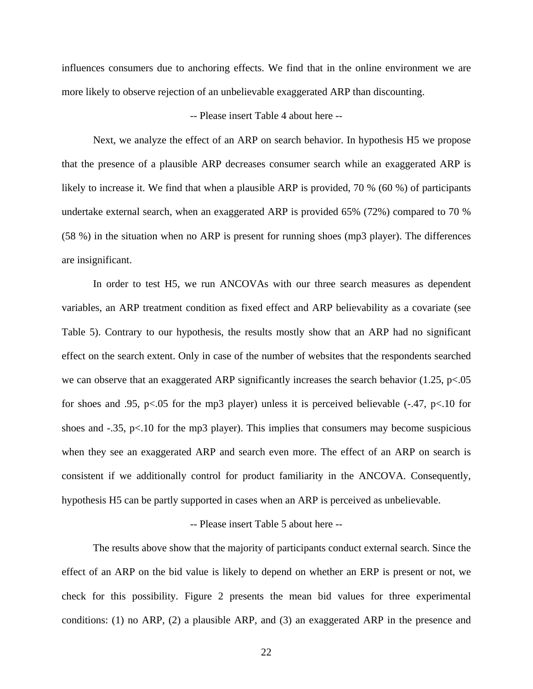influences consumers due to anchoring effects. We find that in the online environment we are more likely to observe rejection of an unbelievable exaggerated ARP than discounting.

#### -- Please insert Table 4 about here --

Next, we analyze the effect of an ARP on search behavior. In hypothesis H5 we propose that the presence of a plausible ARP decreases consumer search while an exaggerated ARP is likely to increase it. We find that when a plausible ARP is provided, 70 % (60 %) of participants undertake external search, when an exaggerated ARP is provided 65% (72%) compared to 70 % (58 %) in the situation when no ARP is present for running shoes (mp3 player). The differences are insignificant.

In order to test H5, we run ANCOVAs with our three search measures as dependent variables, an ARP treatment condition as fixed effect and ARP believability as a covariate (see Table 5). Contrary to our hypothesis, the results mostly show that an ARP had no significant effect on the search extent. Only in case of the number of websites that the respondents searched we can observe that an exaggerated ARP significantly increases the search behavior  $(1.25, p<.05$ for shoes and .95, p<.05 for the mp3 player) unless it is perceived believable (-.47, p<.10 for shoes and  $-.35$ , p<.10 for the mp3 player). This implies that consumers may become suspicious when they see an exaggerated ARP and search even more. The effect of an ARP on search is consistent if we additionally control for product familiarity in the ANCOVA. Consequently, hypothesis H5 can be partly supported in cases when an ARP is perceived as unbelievable.

#### -- Please insert Table 5 about here --

The results above show that the majority of participants conduct external search. Since the effect of an ARP on the bid value is likely to depend on whether an ERP is present or not, we check for this possibility. Figure 2 presents the mean bid values for three experimental conditions: (1) no ARP, (2) a plausible ARP, and (3) an exaggerated ARP in the presence and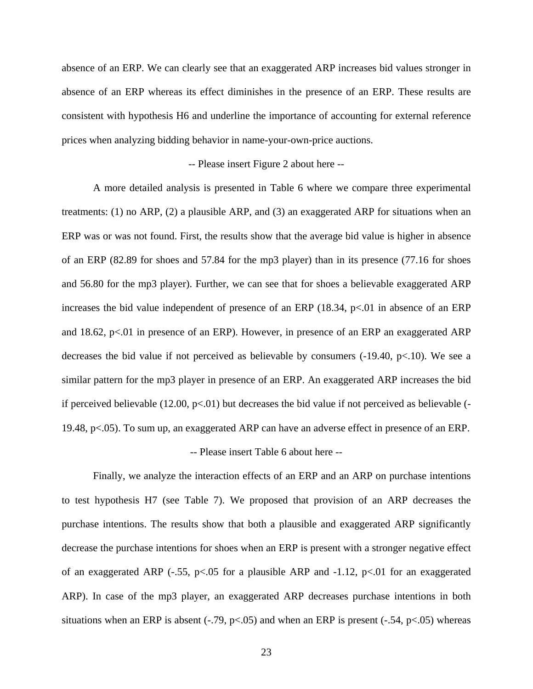absence of an ERP. We can clearly see that an exaggerated ARP increases bid values stronger in absence of an ERP whereas its effect diminishes in the presence of an ERP. These results are consistent with hypothesis H6 and underline the importance of accounting for external reference prices when analyzing bidding behavior in name-your-own-price auctions.

#### -- Please insert Figure 2 about here --

A more detailed analysis is presented in Table 6 where we compare three experimental treatments: (1) no ARP, (2) a plausible ARP, and (3) an exaggerated ARP for situations when an ERP was or was not found. First, the results show that the average bid value is higher in absence of an ERP (82.89 for shoes and 57.84 for the mp3 player) than in its presence (77.16 for shoes and 56.80 for the mp3 player). Further, we can see that for shoes a believable exaggerated ARP increases the bid value independent of presence of an ERP  $(18.34, p<.01$  in absence of an ERP and 18.62, p<.01 in presence of an ERP). However, in presence of an ERP an exaggerated ARP decreases the bid value if not perceived as believable by consumers  $(-19.40, p<.10)$ . We see a similar pattern for the mp3 player in presence of an ERP. An exaggerated ARP increases the bid if perceived believable  $(12.00, p<0.01)$  but decreases the bid value if not perceived as believable  $(-\frac{1}{2}$ 19.48, p<.05). To sum up, an exaggerated ARP can have an adverse effect in presence of an ERP. -- Please insert Table 6 about here --

Finally, we analyze the interaction effects of an ERP and an ARP on purchase intentions to test hypothesis H7 (see Table 7). We proposed that provision of an ARP decreases the purchase intentions. The results show that both a plausible and exaggerated ARP significantly decrease the purchase intentions for shoes when an ERP is present with a stronger negative effect of an exaggerated ARP  $(-.55, p<.05$  for a plausible ARP and  $-1.12, p<.01$  for an exaggerated ARP). In case of the mp3 player, an exaggerated ARP decreases purchase intentions in both situations when an ERP is absent  $(-.79, p<.05)$  and when an ERP is present  $(-.54, p<.05)$  whereas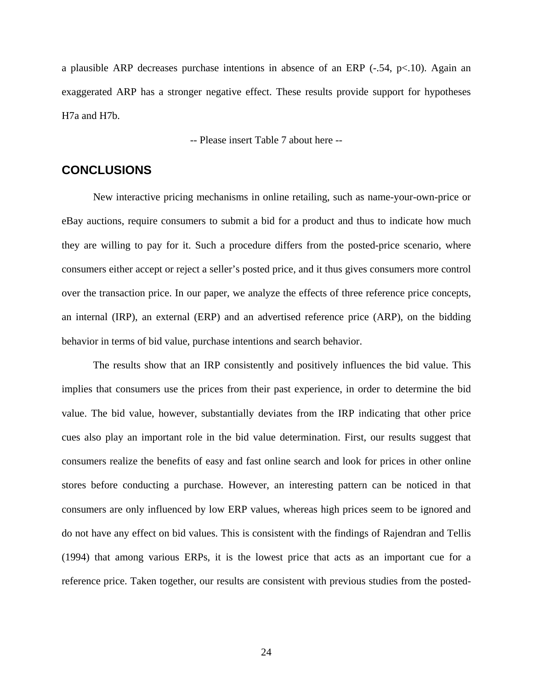a plausible ARP decreases purchase intentions in absence of an ERP (-.54, p<.10). Again an exaggerated ARP has a stronger negative effect. These results provide support for hypotheses H7a and H7b.

-- Please insert Table 7 about here --

# **CONCLUSIONS**

New interactive pricing mechanisms in online retailing, such as name-your-own-price or eBay auctions, require consumers to submit a bid for a product and thus to indicate how much they are willing to pay for it. Such a procedure differs from the posted-price scenario, where consumers either accept or reject a seller's posted price, and it thus gives consumers more control over the transaction price. In our paper, we analyze the effects of three reference price concepts, an internal (IRP), an external (ERP) and an advertised reference price (ARP), on the bidding behavior in terms of bid value, purchase intentions and search behavior.

The results show that an IRP consistently and positively influences the bid value. This implies that consumers use the prices from their past experience, in order to determine the bid value. The bid value, however, substantially deviates from the IRP indicating that other price cues also play an important role in the bid value determination. First, our results suggest that consumers realize the benefits of easy and fast online search and look for prices in other online stores before conducting a purchase. However, an interesting pattern can be noticed in that consumers are only influenced by low ERP values, whereas high prices seem to be ignored and do not have any effect on bid values. This is consistent with the findings of Rajendran and Tellis (1994) that among various ERPs, it is the lowest price that acts as an important cue for a reference price. Taken together, our results are consistent with previous studies from the posted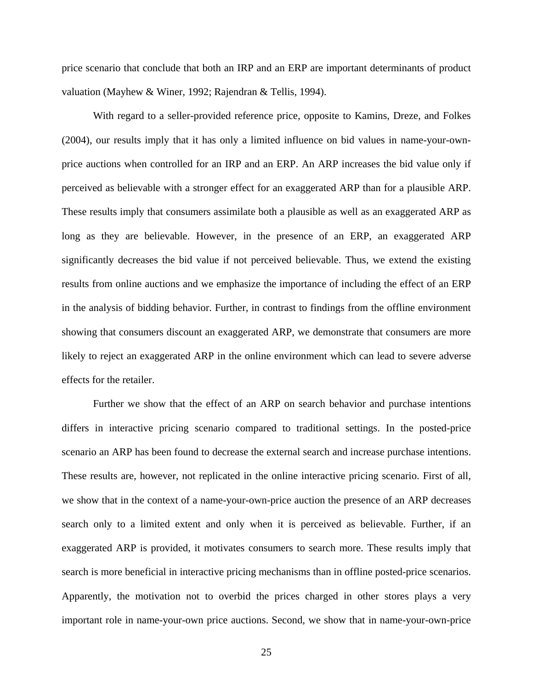price scenario that conclude that both an IRP and an ERP are important determinants of product valuation (Mayhew & Winer, 1992; Rajendran & Tellis, 1994).

With regard to a seller-provided reference price, opposite to Kamins, Dreze, and Folkes (2004), our results imply that it has only a limited influence on bid values in name-your-ownprice auctions when controlled for an IRP and an ERP. An ARP increases the bid value only if perceived as believable with a stronger effect for an exaggerated ARP than for a plausible ARP. These results imply that consumers assimilate both a plausible as well as an exaggerated ARP as long as they are believable. However, in the presence of an ERP, an exaggerated ARP significantly decreases the bid value if not perceived believable. Thus, we extend the existing results from online auctions and we emphasize the importance of including the effect of an ERP in the analysis of bidding behavior. Further, in contrast to findings from the offline environment showing that consumers discount an exaggerated ARP, we demonstrate that consumers are more likely to reject an exaggerated ARP in the online environment which can lead to severe adverse effects for the retailer.

Further we show that the effect of an ARP on search behavior and purchase intentions differs in interactive pricing scenario compared to traditional settings. In the posted-price scenario an ARP has been found to decrease the external search and increase purchase intentions. These results are, however, not replicated in the online interactive pricing scenario. First of all, we show that in the context of a name-your-own-price auction the presence of an ARP decreases search only to a limited extent and only when it is perceived as believable. Further, if an exaggerated ARP is provided, it motivates consumers to search more. These results imply that search is more beneficial in interactive pricing mechanisms than in offline posted-price scenarios. Apparently, the motivation not to overbid the prices charged in other stores plays a very important role in name-your-own price auctions. Second, we show that in name-your-own-price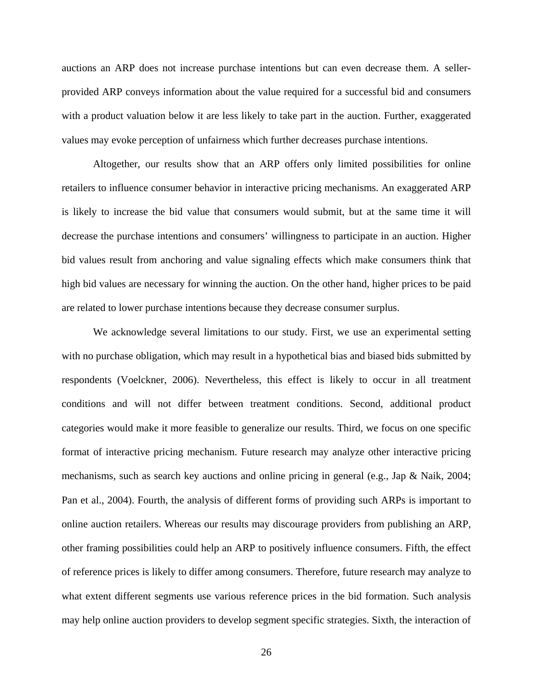auctions an ARP does not increase purchase intentions but can even decrease them. A sellerprovided ARP conveys information about the value required for a successful bid and consumers with a product valuation below it are less likely to take part in the auction. Further, exaggerated values may evoke perception of unfairness which further decreases purchase intentions.

Altogether, our results show that an ARP offers only limited possibilities for online retailers to influence consumer behavior in interactive pricing mechanisms. An exaggerated ARP is likely to increase the bid value that consumers would submit, but at the same time it will decrease the purchase intentions and consumers' willingness to participate in an auction. Higher bid values result from anchoring and value signaling effects which make consumers think that high bid values are necessary for winning the auction. On the other hand, higher prices to be paid are related to lower purchase intentions because they decrease consumer surplus.

We acknowledge several limitations to our study. First, we use an experimental setting with no purchase obligation, which may result in a hypothetical bias and biased bids submitted by respondents (Voelckner, 2006). Nevertheless, this effect is likely to occur in all treatment conditions and will not differ between treatment conditions. Second, additional product categories would make it more feasible to generalize our results. Third, we focus on one specific format of interactive pricing mechanism. Future research may analyze other interactive pricing mechanisms, such as search key auctions and online pricing in general (e.g., Jap & Naik, 2004; Pan et al., 2004). Fourth, the analysis of different forms of providing such ARPs is important to online auction retailers. Whereas our results may discourage providers from publishing an ARP, other framing possibilities could help an ARP to positively influence consumers. Fifth, the effect of reference prices is likely to differ among consumers. Therefore, future research may analyze to what extent different segments use various reference prices in the bid formation. Such analysis may help online auction providers to develop segment specific strategies. Sixth, the interaction of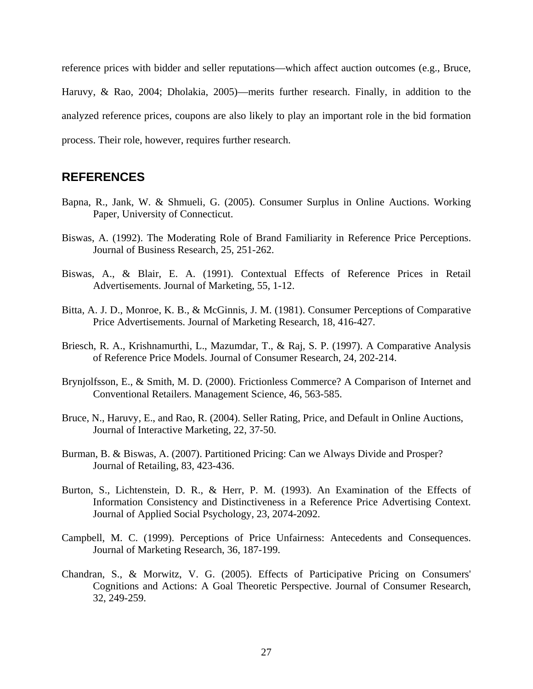reference prices with bidder and seller reputations—which affect auction outcomes (e.g., Bruce, Haruvy, & Rao, 2004; Dholakia, 2005)—merits further research. Finally, in addition to the analyzed reference prices, coupons are also likely to play an important role in the bid formation process. Their role, however, requires further research.

# **REFERENCES**

- Bapna, R., Jank, W. & Shmueli, G. (2005). Consumer Surplus in Online Auctions. Working Paper, University of Connecticut.
- Biswas, A. (1992). The Moderating Role of Brand Familiarity in Reference Price Perceptions. Journal of Business Research, 25, 251-262.
- Biswas, A., & Blair, E. A. (1991). Contextual Effects of Reference Prices in Retail Advertisements. Journal of Marketing, 55, 1-12.
- Bitta, A. J. D., Monroe, K. B., & McGinnis, J. M. (1981). Consumer Perceptions of Comparative Price Advertisements. Journal of Marketing Research, 18, 416-427.
- Briesch, R. A., Krishnamurthi, L., Mazumdar, T., & Raj, S. P. (1997). A Comparative Analysis of Reference Price Models. Journal of Consumer Research, 24, 202-214.
- Brynjolfsson, E., & Smith, M. D. (2000). Frictionless Commerce? A Comparison of Internet and Conventional Retailers. Management Science, 46, 563-585.
- Bruce, N., Haruvy, E., and Rao, R. (2004). Seller Rating, Price, and Default in Online Auctions, Journal of Interactive Marketing, 22, 37-50.
- Burman, B. & Biswas, A. (2007). Partitioned Pricing: Can we Always Divide and Prosper? Journal of Retailing, 83, 423-436.
- Burton, S., Lichtenstein, D. R., & Herr, P. M. (1993). An Examination of the Effects of Information Consistency and Distinctiveness in a Reference Price Advertising Context. Journal of Applied Social Psychology, 23, 2074-2092.
- Campbell, M. C. (1999). Perceptions of Price Unfairness: Antecedents and Consequences. Journal of Marketing Research, 36, 187-199.
- Chandran, S., & Morwitz, V. G. (2005). Effects of Participative Pricing on Consumers' Cognitions and Actions: A Goal Theoretic Perspective. Journal of Consumer Research, 32, 249-259.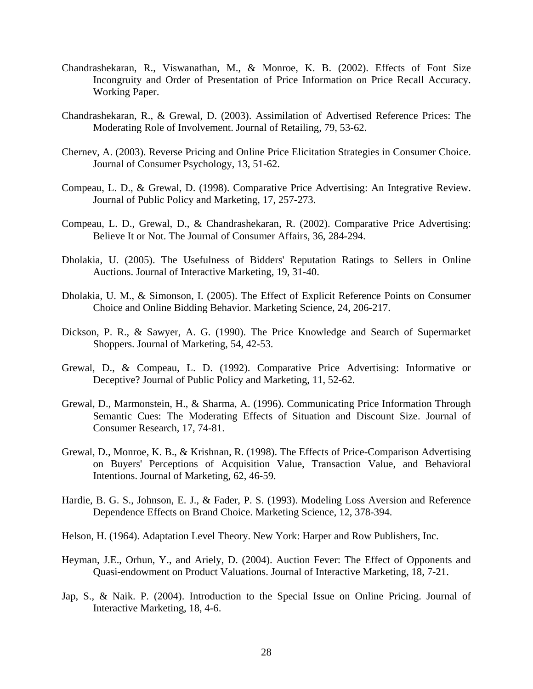- Chandrashekaran, R., Viswanathan, M., & Monroe, K. B. (2002). Effects of Font Size Incongruity and Order of Presentation of Price Information on Price Recall Accuracy. Working Paper.
- Chandrashekaran, R., & Grewal, D. (2003). Assimilation of Advertised Reference Prices: The Moderating Role of Involvement. Journal of Retailing, 79, 53-62.
- Chernev, A. (2003). Reverse Pricing and Online Price Elicitation Strategies in Consumer Choice. Journal of Consumer Psychology, 13, 51-62.
- Compeau, L. D., & Grewal, D. (1998). Comparative Price Advertising: An Integrative Review. Journal of Public Policy and Marketing, 17, 257-273.
- Compeau, L. D., Grewal, D., & Chandrashekaran, R. (2002). Comparative Price Advertising: Believe It or Not. The Journal of Consumer Affairs, 36, 284-294.
- Dholakia, U. (2005). The Usefulness of Bidders' Reputation Ratings to Sellers in Online Auctions. Journal of Interactive Marketing, 19, 31-40.
- Dholakia, U. M., & Simonson, I. (2005). The Effect of Explicit Reference Points on Consumer Choice and Online Bidding Behavior. Marketing Science, 24, 206-217.
- Dickson, P. R., & Sawyer, A. G. (1990). The Price Knowledge and Search of Supermarket Shoppers. Journal of Marketing, 54, 42-53.
- Grewal, D., & Compeau, L. D. (1992). Comparative Price Advertising: Informative or Deceptive? Journal of Public Policy and Marketing, 11, 52-62.
- Grewal, D., Marmonstein, H., & Sharma, A. (1996). Communicating Price Information Through Semantic Cues: The Moderating Effects of Situation and Discount Size. Journal of Consumer Research, 17, 74-81.
- Grewal, D., Monroe, K. B., & Krishnan, R. (1998). The Effects of Price-Comparison Advertising on Buyers' Perceptions of Acquisition Value, Transaction Value, and Behavioral Intentions. Journal of Marketing, 62, 46-59.
- Hardie, B. G. S., Johnson, E. J., & Fader, P. S. (1993). Modeling Loss Aversion and Reference Dependence Effects on Brand Choice. Marketing Science, 12, 378-394.
- Helson, H. (1964). Adaptation Level Theory. New York: Harper and Row Publishers, Inc.
- Heyman, J.E., Orhun, Y., and Ariely, D. (2004). Auction Fever: The Effect of Opponents and Quasi-endowment on Product Valuations. Journal of Interactive Marketing, 18, 7-21.
- Jap, S., & Naik. P. (2004). Introduction to the Special Issue on Online Pricing. Journal of Interactive Marketing, 18, 4-6.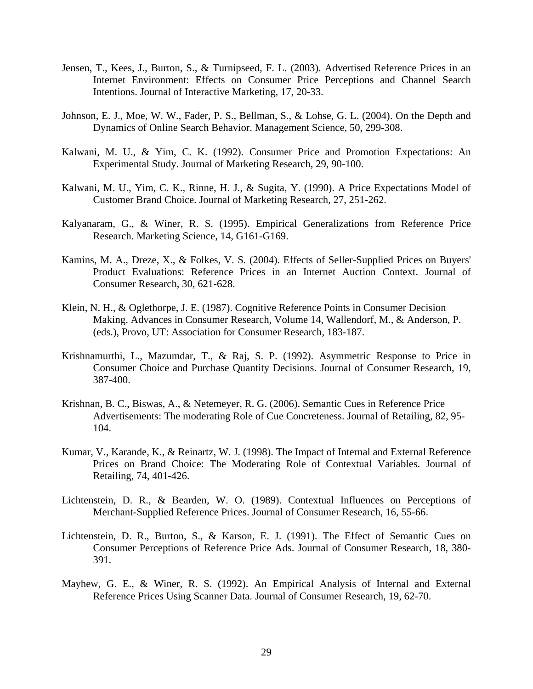- Jensen, T., Kees, J., Burton, S., & Turnipseed, F. L. (2003). Advertised Reference Prices in an Internet Environment: Effects on Consumer Price Perceptions and Channel Search Intentions. Journal of Interactive Marketing, 17, 20-33.
- Johnson, E. J., Moe, W. W., Fader, P. S., Bellman, S., & Lohse, G. L. (2004). On the Depth and Dynamics of Online Search Behavior. Management Science, 50, 299-308.
- Kalwani, M. U., & Yim, C. K. (1992). Consumer Price and Promotion Expectations: An Experimental Study. Journal of Marketing Research, 29, 90-100.
- Kalwani, M. U., Yim, C. K., Rinne, H. J., & Sugita, Y. (1990). A Price Expectations Model of Customer Brand Choice. Journal of Marketing Research, 27, 251-262.
- Kalyanaram, G., & Winer, R. S. (1995). Empirical Generalizations from Reference Price Research. Marketing Science, 14, G161-G169.
- Kamins, M. A., Dreze, X., & Folkes, V. S. (2004). Effects of Seller-Supplied Prices on Buyers' Product Evaluations: Reference Prices in an Internet Auction Context. Journal of Consumer Research, 30, 621-628.
- Klein, N. H., & Oglethorpe, J. E. (1987). Cognitive Reference Points in Consumer Decision Making. Advances in Consumer Research, Volume 14, Wallendorf, M., & Anderson, P. (eds.), Provo, UT: Association for Consumer Research, 183-187.
- Krishnamurthi, L., Mazumdar, T., & Raj, S. P. (1992). Asymmetric Response to Price in Consumer Choice and Purchase Quantity Decisions. Journal of Consumer Research, 19, 387-400.
- Krishnan, B. C., Biswas, A., & Netemeyer, R. G. (2006). Semantic Cues in Reference Price Advertisements: The moderating Role of Cue Concreteness. Journal of Retailing*,* 82, 95- 104.
- Kumar, V., Karande, K., & Reinartz, W. J. (1998). The Impact of Internal and External Reference Prices on Brand Choice: The Moderating Role of Contextual Variables. Journal of Retailing, 74, 401-426.
- Lichtenstein, D. R., & Bearden, W. O. (1989). Contextual Influences on Perceptions of Merchant-Supplied Reference Prices. Journal of Consumer Research, 16, 55-66.
- Lichtenstein, D. R., Burton, S., & Karson, E. J. (1991). The Effect of Semantic Cues on Consumer Perceptions of Reference Price Ads. Journal of Consumer Research, 18, 380- 391.
- Mayhew, G. E., & Winer, R. S. (1992). An Empirical Analysis of Internal and External Reference Prices Using Scanner Data. Journal of Consumer Research, 19, 62-70.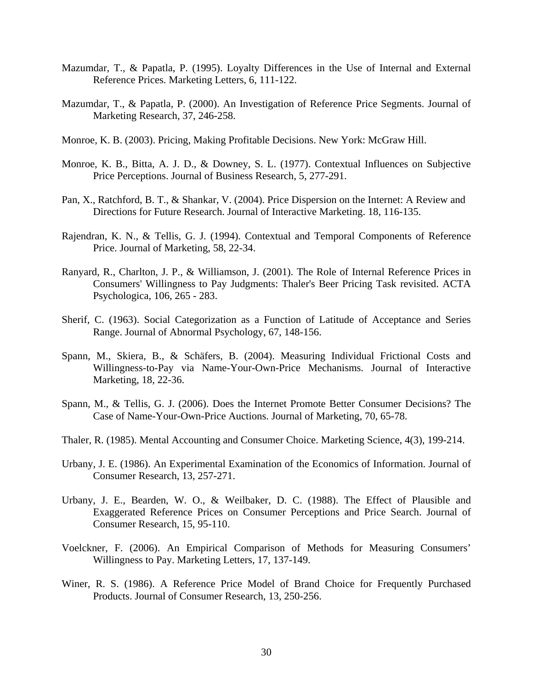- Mazumdar, T., & Papatla, P. (1995). Loyalty Differences in the Use of Internal and External Reference Prices. Marketing Letters, 6, 111-122.
- Mazumdar, T., & Papatla, P. (2000). An Investigation of Reference Price Segments. Journal of Marketing Research, 37, 246-258.
- Monroe, K. B. (2003). Pricing, Making Profitable Decisions. New York: McGraw Hill.
- Monroe, K. B., Bitta, A. J. D., & Downey, S. L. (1977). Contextual Influences on Subjective Price Perceptions. Journal of Business Research, 5, 277-291.
- Pan, X., Ratchford, B. T., & Shankar, V. (2004). Price Dispersion on the Internet: A Review and Directions for Future Research. Journal of Interactive Marketing. 18, 116-135.
- Rajendran, K. N., & Tellis, G. J. (1994). Contextual and Temporal Components of Reference Price. Journal of Marketing, 58, 22-34.
- Ranyard, R., Charlton, J. P., & Williamson, J. (2001). The Role of Internal Reference Prices in Consumers' Willingness to Pay Judgments: Thaler's Beer Pricing Task revisited. ACTA Psychologica, 106, 265 - 283.
- Sherif, C. (1963). Social Categorization as a Function of Latitude of Acceptance and Series Range. Journal of Abnormal Psychology, 67, 148-156.
- Spann, M., Skiera, B., & Schäfers, B. (2004). Measuring Individual Frictional Costs and Willingness-to-Pay via Name-Your-Own-Price Mechanisms. Journal of Interactive Marketing, 18, 22-36.
- Spann, M., & Tellis, G. J. (2006). Does the Internet Promote Better Consumer Decisions? The Case of Name-Your-Own-Price Auctions. Journal of Marketing, 70, 65-78.
- Thaler, R. (1985). Mental Accounting and Consumer Choice. Marketing Science, 4(3), 199-214.
- Urbany, J. E. (1986). An Experimental Examination of the Economics of Information. Journal of Consumer Research, 13, 257-271.
- Urbany, J. E., Bearden, W. O., & Weilbaker, D. C. (1988). The Effect of Plausible and Exaggerated Reference Prices on Consumer Perceptions and Price Search. Journal of Consumer Research, 15, 95-110.
- Voelckner, F. (2006). An Empirical Comparison of Methods for Measuring Consumers' Willingness to Pay. Marketing Letters, 17, 137-149.
- Winer, R. S. (1986). A Reference Price Model of Brand Choice for Frequently Purchased Products. Journal of Consumer Research, 13, 250-256.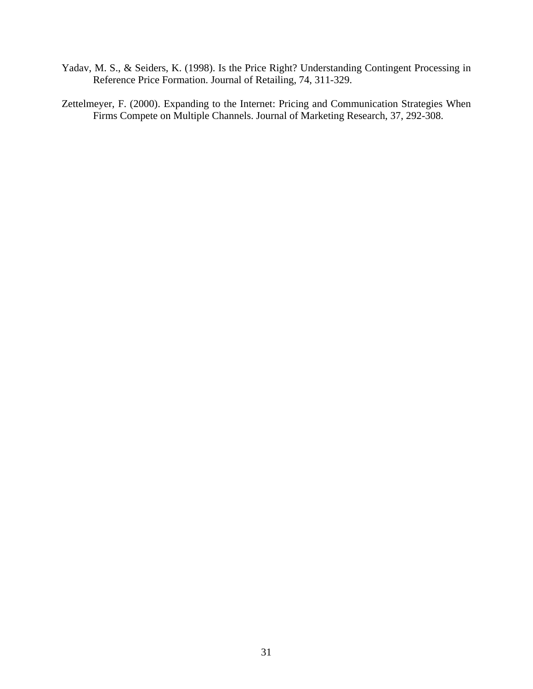- Yadav, M. S., & Seiders, K. (1998). Is the Price Right? Understanding Contingent Processing in Reference Price Formation. Journal of Retailing, 74, 311-329.
- Zettelmeyer, F. (2000). Expanding to the Internet: Pricing and Communication Strategies When Firms Compete on Multiple Channels. Journal of Marketing Research, 37, 292-308.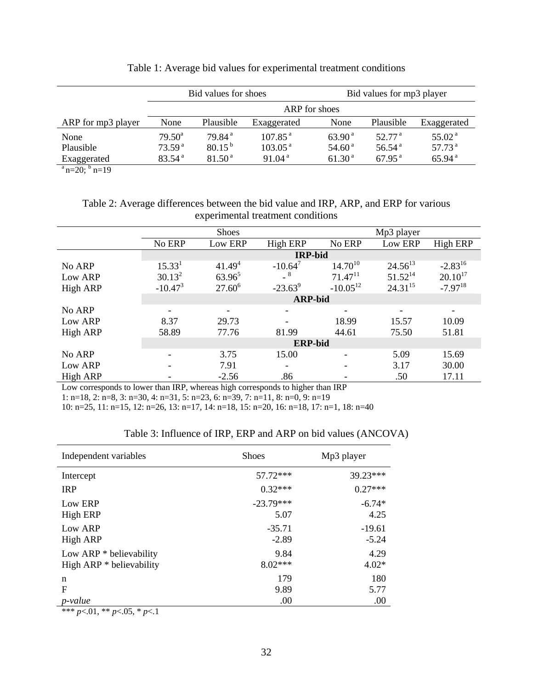|                    | Bid values for shoes |                    |                     |                    | Bid values for mp3 player |                    |  |  |
|--------------------|----------------------|--------------------|---------------------|--------------------|---------------------------|--------------------|--|--|
|                    | ARP for shoes        |                    |                     |                    |                           |                    |  |  |
| ARP for mp3 player | None                 | Plausible          | Exaggerated         | None               | Plausible                 | Exaggerated        |  |  |
| None               | $79.50^{\circ}$      | 79.84 <sup>a</sup> | 107.85 <sup>a</sup> | $63.90^{\text{a}}$ | 52.77 <sup>a</sup>        | 55.02 <sup>a</sup> |  |  |
| Plausible          | 73.59 <sup>a</sup>   | $80.15^{b}$        | 103.05 <sup>a</sup> | 54.60 <sup>a</sup> | 56.54 <sup>a</sup>        | 57.73 <sup>a</sup> |  |  |
| Exaggerated        | 83.54 <sup>a</sup>   | 81.50 <sup>a</sup> | 91.04 <sup>a</sup>  | 61.30 <sup>a</sup> | $67.95^{\text{a}}$        | 65.94 <sup>a</sup> |  |  |

#### Table 1: Average bid values for experimental treatment conditions

 $a_{\rm n=20;} b_{\rm n=19}$ 

## Table 2: Average differences between the bid value and IRP, ARP, and ERP for various experimental treatment conditions

|                 | Shoes              |                |                 | Mp3 player            |              |              |  |
|-----------------|--------------------|----------------|-----------------|-----------------------|--------------|--------------|--|
|                 | No ERP             | Low ERP        | <b>High ERP</b> | No ERP                | Low ERP      | High ERP     |  |
|                 |                    | <b>IRP-bid</b> |                 |                       |              |              |  |
| No ARP          | 15.33 <sup>1</sup> | $41.49^{4}$    | $-10.64^7$      | $14.70^{10}$          | $24.56^{13}$ | $-2.83^{16}$ |  |
| Low ARP         | $30.13^2$          | $63.96^5$      | $-$ 8           | $71.47$ <sup>11</sup> | $51.52^{14}$ | $20.10^{17}$ |  |
| <b>High ARP</b> | $-10.47^{3}$       | $27.60^6$      | $-23.63^9$      | $-10.05^{12}$         | $24.31^{15}$ | $-7.97^{18}$ |  |
|                 | <b>ARP-bid</b>     |                |                 |                       |              |              |  |
| No ARP          |                    |                |                 |                       |              |              |  |
| Low ARP         | 8.37               | 29.73          |                 | 18.99                 | 15.57        | 10.09        |  |
| <b>High ARP</b> | 58.89              | 77.76          | 81.99           | 44.61                 | 75.50        | 51.81        |  |
|                 | <b>ERP-bid</b>     |                |                 |                       |              |              |  |
| No ARP          |                    | 3.75           | 15.00           |                       | 5.09         | 15.69        |  |
| Low ARP         |                    | 7.91           |                 |                       | 3.17         | 30.00        |  |
| High ARP        |                    | $-2.56$        | .86             |                       | .50          | 17.11        |  |

Low corresponds to lower than IRP, whereas high corresponds to higher than IRP

1: n=18, 2: n=8, 3: n=30, 4: n=31, 5: n=23, 6: n=39, 7: n=11, 8: n=0, 9: n=19

10: n=25, 11: n=15, 12: n=26, 13: n=17, 14: n=18, 15: n=20, 16: n=18, 17: n=1, 18: n=40

| Independent variables     | <b>Shoes</b> | Mp3 player |  |
|---------------------------|--------------|------------|--|
| Intercept                 | 57.72***     | 39.23***   |  |
| <b>IRP</b>                | $0.32***$    | $0.27***$  |  |
| Low ERP                   | $-23.79***$  | $-6.74*$   |  |
| High ERP                  | 5.07         | 4.25       |  |
| Low ARP                   | $-35.71$     | $-19.61$   |  |
| <b>High ARP</b>           | $-2.89$      | $-5.24$    |  |
| Low ARP $*$ believability | 9.84         | 4.29       |  |
| High ARP * believability  | $8.02***$    | $4.02*$    |  |
| n                         | 179          | 180        |  |
| $\mathbf F$               | 9.89         | 5.77       |  |
| $p$ -value                | .00          | .00        |  |

#### Table 3: Influence of IRP, ERP and ARP on bid values (ANCOVA)

\*\*\* *p*<.01, \*\* *p*<.05, \* *p*<.1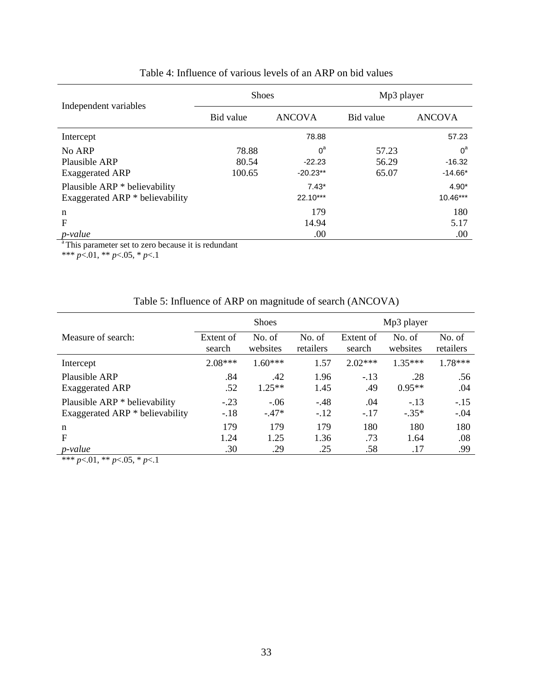|                                 | <b>Shoes</b> |               | Mp3 player |               |  |
|---------------------------------|--------------|---------------|------------|---------------|--|
| Independent variables           | Bid value    | <b>ANCOVA</b> |            | <b>ANCOVA</b> |  |
| Intercept                       |              | 78.88         |            | 57.23         |  |
| No ARP                          | 78.88        | $0^{\rm a}$   | 57.23      | $0^{\rm a}$   |  |
| Plausible ARP                   | 80.54        | $-22.23$      | 56.29      | $-16.32$      |  |
| <b>Exaggerated ARP</b>          | 100.65       | $-20.23**$    | 65.07      | $-14.66*$     |  |
| Plausible ARP * believability   |              | $7.43*$       |            | $4.90*$       |  |
| Exaggerated ARP * believability |              | $22.10***$    |            | 10.46***      |  |
| $\mathbf n$                     |              | 179           |            | 180           |  |
| $\mathbf{F}$                    |              | 14.94         |            | 5.17          |  |
| p-value                         |              | .00           |            | .00           |  |

# Table 4: Influence of various levels of an ARP on bid values

<sup>a</sup> This parameter set to zero because it is redundant

\*\*\* *p*<.01, \*\* *p*<.05, \* *p*<.1

# Table 5: Influence of ARP on magnitude of search (ANCOVA)

|                                 | <b>Shoes</b> |           |           | Mp3 player |           |           |
|---------------------------------|--------------|-----------|-----------|------------|-----------|-----------|
| Measure of search:              | Extent of    | No. of    | No. of    | Extent of  | No. of    | No. of    |
|                                 | search       | websites  | retailers | search     | websites  | retailers |
| Intercept                       | $2.08***$    | $1.60***$ | 1.57      | $2.02***$  | $1.35***$ | $1.78***$ |
| Plausible ARP                   | .84          | .42       | 1.96      | $-.13$     | .28       | .56       |
| <b>Exaggerated ARP</b>          | .52          | $1.25**$  | 1.45      | .49        | $0.95**$  | .04       |
| Plausible ARP * believability   | $-.23$       | $-.06$    | $-.48$    | .04        | $-.13$    | $-.15$    |
| Exaggerated ARP * believability | $-.18$       | $-.47*$   | $-.12$    | $-.17$     | $-.35*$   | $-.04$    |
| n                               | 179          | 179       | 179       | 180        | 180       | 180       |
| F                               | 1.24         | 1.25      | 1.36      | .73        | 1.64      | .08       |
| <i>p</i> -value                 | .30          | .29       | .25       | .58        | .17       | .99       |

\*\*\* *p*<.01, \*\* *p*<.05, \* *p*<.1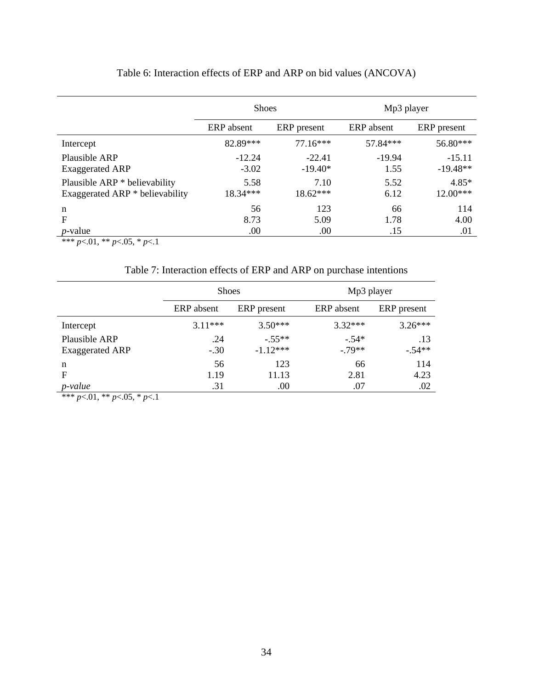|                                 | <b>Shoes</b>              |            | Mp3 player |             |  |
|---------------------------------|---------------------------|------------|------------|-------------|--|
|                                 | ERP absent<br>ERP present |            | ERP absent | ERP present |  |
| Intercept                       | 82.89***                  | $77.16***$ | 57.84***   | 56.80***    |  |
| Plausible ARP                   | $-12.24$                  | $-22.41$   | $-19.94$   | $-15.11$    |  |
| <b>Exaggerated ARP</b>          | $-3.02$                   | $-19.40*$  | 1.55       | $-19.48**$  |  |
| Plausible ARP * believability   | 5.58                      | 7.10       | 5.52       | $4.85*$     |  |
| Exaggerated ARP * believability | $18.34***$                | $18.62***$ | 6.12       | $12.00***$  |  |
| n                               | 56                        | 123        | 66         | 114         |  |
| F                               | 8.73                      | 5.09       | 1.78       | 4.00        |  |
| <i>p</i> -value                 | .00                       | .00        | .15        | .01         |  |

# Table 6: Interaction effects of ERP and ARP on bid values (ANCOVA)

 $\frac{p \text{ value}}{p \times 0.01, \cdot \cdot \cdot p}$  *p* < 0.05,  $\cdot \cdot p$  *p* < 0.1

Table 7: Interaction effects of ERP and ARP on purchase intentions

|                                         | <b>Shoes</b>  |                       | Mp3 player         |                 |  |
|-----------------------------------------|---------------|-----------------------|--------------------|-----------------|--|
|                                         | ERP absent    | ERP present           | ERP absent         | ERP present     |  |
| Intercept                               | $3.11***$     | $3.50***$             | $3.32***$          | $3.26***$       |  |
| Plausible ARP<br><b>Exaggerated ARP</b> | .24<br>$-.30$ | $-55**$<br>$-1.12***$ | $-.54*$<br>$-79**$ | .13<br>$-.54**$ |  |
| n                                       | 56            | 123                   | 66                 | 114             |  |
| F                                       | 1.19          | 11.13                 | 2.81               | 4.23            |  |
| <i>p</i> -value                         | .31           | .00                   | .07                | .02             |  |

\*\*\*  $p<01$ , \*\*  $p<05$ , \*  $p<1$